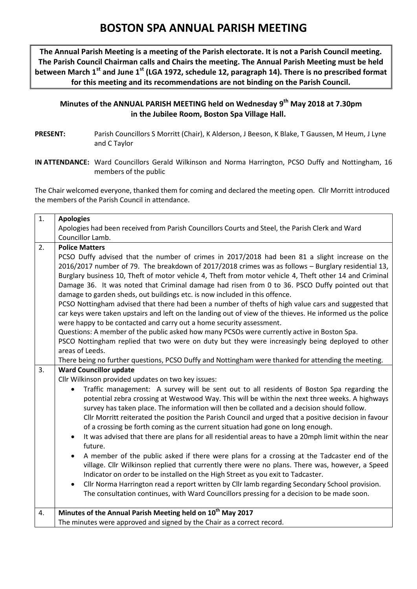## **BOSTON SPA ANNUAL PARISH MEETING**

**The Annual Parish Meeting is a meeting of the Parish electorate. It is not a Parish Council meeting. The Parish Council Chairman calls and Chairs the meeting. The Annual Parish Meeting must be held between March 1st and June 1st (LGA 1972, schedule 12, paragraph 14). There is no prescribed format for this meeting and its recommendations are not binding on the Parish Council.**

## **Minutes of the ANNUAL PARISH MEETING held on Wednesday 9 th May 2018 at 7.30pm in the Jubilee Room, Boston Spa Village Hall.**

- PRESENT: Parish Councillors S Morritt (Chair), K Alderson, J Beeson, K Blake, T Gaussen, M Heum, J Lyne and C Taylor
- **IN ATTENDANCE:** Ward Councillors Gerald Wilkinson and Norma Harrington, PCSO Duffy and Nottingham, 16 members of the public

The Chair welcomed everyone, thanked them for coming and declared the meeting open. Cllr Morritt introduced the members of the Parish Council in attendance.

| 1. | <b>Apologies</b>                                                                                                                                                                |  |  |  |  |  |  |  |
|----|---------------------------------------------------------------------------------------------------------------------------------------------------------------------------------|--|--|--|--|--|--|--|
|    | Apologies had been received from Parish Councillors Courts and Steel, the Parish Clerk and Ward                                                                                 |  |  |  |  |  |  |  |
|    | Councillor Lamb.                                                                                                                                                                |  |  |  |  |  |  |  |
| 2. | <b>Police Matters</b>                                                                                                                                                           |  |  |  |  |  |  |  |
|    | PCSO Duffy advised that the number of crimes in 2017/2018 had been 81 a slight increase on the                                                                                  |  |  |  |  |  |  |  |
|    | 2016/2017 number of 79. The breakdown of 2017/2018 crimes was as follows - Burglary residential 13,                                                                             |  |  |  |  |  |  |  |
|    | Burglary business 10, Theft of motor vehicle 4, Theft from motor vehicle 4, Theft other 14 and Criminal                                                                         |  |  |  |  |  |  |  |
|    | Damage 36. It was noted that Criminal damage had risen from 0 to 36. PSCO Duffy pointed out that<br>damage to garden sheds, out buildings etc. is now included in this offence. |  |  |  |  |  |  |  |
|    | PCSO Nottingham advised that there had been a number of thefts of high value cars and suggested that                                                                            |  |  |  |  |  |  |  |
|    | car keys were taken upstairs and left on the landing out of view of the thieves. He informed us the police                                                                      |  |  |  |  |  |  |  |
|    | were happy to be contacted and carry out a home security assessment.                                                                                                            |  |  |  |  |  |  |  |
|    | Questions: A member of the public asked how many PCSOs were currently active in Boston Spa.                                                                                     |  |  |  |  |  |  |  |
|    | PSCO Nottingham replied that two were on duty but they were increasingly being deployed to other                                                                                |  |  |  |  |  |  |  |
|    | areas of Leeds.                                                                                                                                                                 |  |  |  |  |  |  |  |
|    | There being no further questions, PCSO Duffy and Nottingham were thanked for attending the meeting.                                                                             |  |  |  |  |  |  |  |
| 3. | <b>Ward Councillor update</b>                                                                                                                                                   |  |  |  |  |  |  |  |
|    | Cllr Wilkinson provided updates on two key issues:                                                                                                                              |  |  |  |  |  |  |  |
|    | Traffic management: A survey will be sent out to all residents of Boston Spa regarding the<br>$\bullet$                                                                         |  |  |  |  |  |  |  |
|    | potential zebra crossing at Westwood Way. This will be within the next three weeks. A highways                                                                                  |  |  |  |  |  |  |  |
|    | survey has taken place. The information will then be collated and a decision should follow.                                                                                     |  |  |  |  |  |  |  |
|    | Cllr Morritt reiterated the position the Parish Council and urged that a positive decision in favour                                                                            |  |  |  |  |  |  |  |
|    | of a crossing be forth coming as the current situation had gone on long enough.                                                                                                 |  |  |  |  |  |  |  |
|    | It was advised that there are plans for all residential areas to have a 20mph limit within the near<br>future.                                                                  |  |  |  |  |  |  |  |
|    | A member of the public asked if there were plans for a crossing at the Tadcaster end of the<br>$\bullet$                                                                        |  |  |  |  |  |  |  |
|    | village. Cllr Wilkinson replied that currently there were no plans. There was, however, a Speed                                                                                 |  |  |  |  |  |  |  |
|    | Indicator on order to be installed on the High Street as you exit to Tadcaster.                                                                                                 |  |  |  |  |  |  |  |
|    | Cllr Norma Harrington read a report written by Cllr lamb regarding Secondary School provision.<br>$\bullet$                                                                     |  |  |  |  |  |  |  |
|    | The consultation continues, with Ward Councillors pressing for a decision to be made soon.                                                                                      |  |  |  |  |  |  |  |
|    |                                                                                                                                                                                 |  |  |  |  |  |  |  |
| 4. | Minutes of the Annual Parish Meeting held on 10 <sup>th</sup> May 2017                                                                                                          |  |  |  |  |  |  |  |
|    | The minutes were approved and signed by the Chair as a correct record.                                                                                                          |  |  |  |  |  |  |  |